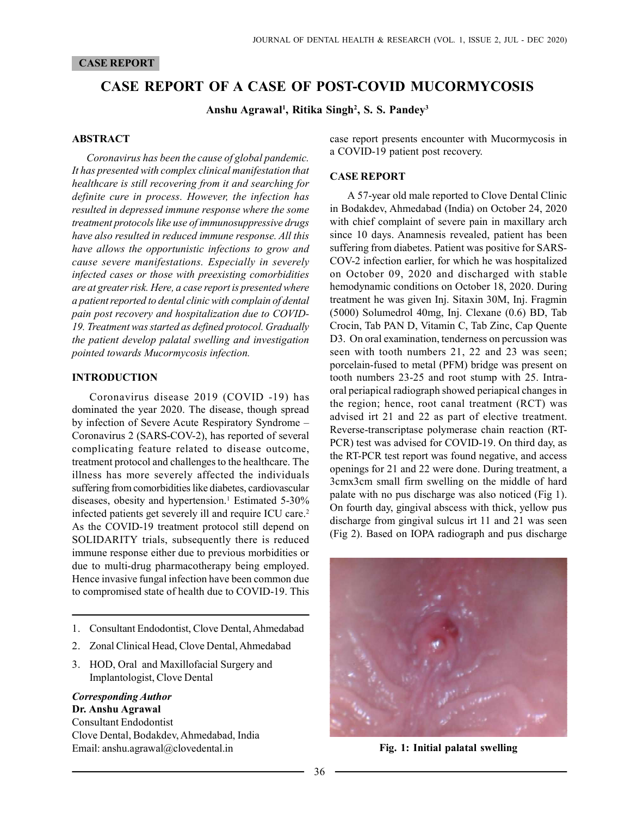## CASE REPORT

# CASE REPORT OF A CASE OF POST-COVID MUCORMYCOSIS

Anshu Agrawal<sup>1</sup>, Ritika Singh<sup>2</sup>, S. S. Pandey<sup>3</sup>

#### ABSTRACT

Coronavirus has been the cause of global pandemic. It has presented with complex clinical manifestation that healthcare is still recovering from it and searching for definite cure in process. However, the infection has resulted in depressed immune response where the some treatment protocols like use of immunosuppressive drugs have also resulted in reduced immune response. All this have allows the opportunistic infections to grow and cause severe manifestations. Especially in severely infected cases or those with preexisting comorbidities are at greater risk. Here, a case report is presented where a patient reported to dental clinic with complain of dental pain post recovery and hospitalization due to COVID-19. Treatment was started as defined protocol. Gradually the patient develop palatal swelling and investigation pointed towards Mucormycosis infection.

## INTRODUCTION

Coronavirus disease 2019 (COVID -19) has dominated the year 2020. The disease, though spread by infection of Severe Acute Respiratory Syndrome – Coronavirus 2 (SARS-COV-2), has reported of several complicating feature related to disease outcome, treatment protocol and challenges to the healthcare. The illness has more severely affected the individuals suffering from comorbidities like diabetes, cardiovascular diseases, obesity and hypertension.<sup>1</sup> Estimated 5-30% infected patients get severely ill and require ICU care.<sup>2</sup> As the COVID-19 treatment protocol still depend on SOLIDARITY trials, subsequently there is reduced immune response either due to previous morbidities or due to multi-drug pharmacotherapy being employed. Hence invasive fungal infection have been common due to compromised state of health due to COVID-19. This

- 1. Consultant Endodontist, Clove Dental, Ahmedabad
- 2. Zonal Clinical Head, Clove Dental, Ahmedabad
- 3. HOD, Oral and Maxillofacial Surgery and Implantologist, Clove Dental

#### Corresponding Author Dr. Anshu Agrawal

Consultant Endodontist Clove Dental, Bodakdev, Ahmedabad, India Email: anshu.agrawal@clovedental.in

case report presents encounter with Mucormycosis in a COVID-19 patient post recovery.

## CASE REPORT

A 57-year old male reported to Clove Dental Clinic in Bodakdev, Ahmedabad (India) on October 24, 2020 with chief complaint of severe pain in maxillary arch since 10 days. Anamnesis revealed, patient has been suffering from diabetes. Patient was positive for SARS-COV-2 infection earlier, for which he was hospitalized on October 09, 2020 and discharged with stable hemodynamic conditions on October 18, 2020. During treatment he was given Inj. Sitaxin 30M, Inj. Fragmin (5000) Solumedrol 40mg, Inj. Clexane (0.6) BD, Tab Crocin, Tab PAN D, Vitamin C, Tab Zinc, Cap Quente D3. On oral examination, tenderness on percussion was seen with tooth numbers 21, 22 and 23 was seen; porcelain-fused to metal (PFM) bridge was present on tooth numbers 23-25 and root stump with 25. Intraoral periapical radiograph showed periapical changes in the region; hence, root canal treatment (RCT) was advised irt 21 and 22 as part of elective treatment. Reverse-transcriptase polymerase chain reaction (RT-PCR) test was advised for COVID-19. On third day, as the RT-PCR test report was found negative, and access openings for 21 and 22 were done. During treatment, a 3cmx3cm small firm swelling on the middle of hard palate with no pus discharge was also noticed (Fig 1). On fourth day, gingival abscess with thick, yellow pus discharge from gingival sulcus irt 11 and 21 was seen (Fig 2). Based on IOPA radiograph and pus discharge



Fig. 1: Initial palatal swelling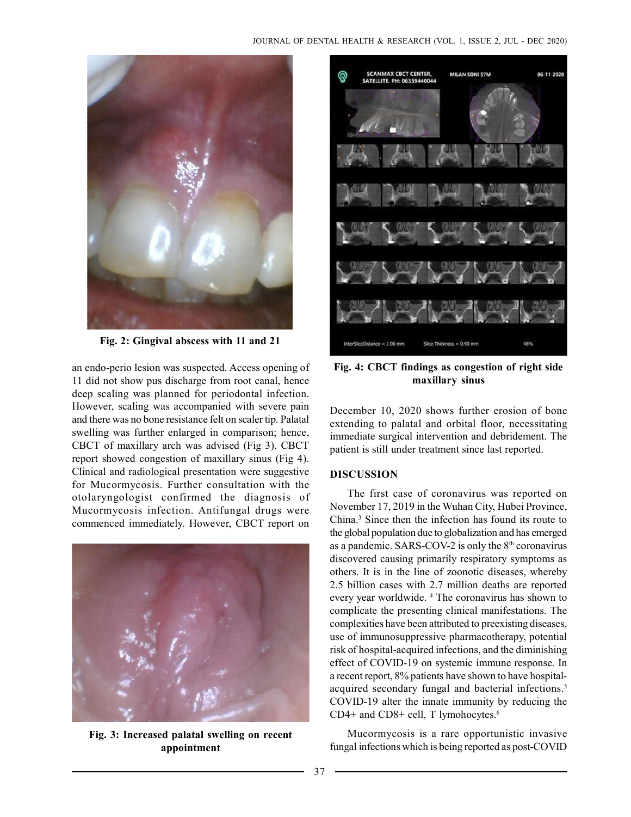

Fig. 2: Gingival abscess with 11 and 21

an endo-perio lesion was suspected. Access opening of 11 did not show pus discharge from root canal, hence deep scaling was planned for periodontal infection. However, scaling was accompanied with severe pain and there was no bone resistance felt on scaler tip. Palatal swelling was further enlarged in comparison; hence, CBCT of maxillary arch was advised (Fig 3). CBCT report showed congestion of maxillary sinus (Fig 4). Clinical and radiological presentation were suggestive for Mucormycosis. Further consultation with the otolaryngologist confirmed the diagnosis of Mucormycosis infection. Antifungal drugs were commenced immediately. However, CBCT report on



Fig. 3: Increased palatal swelling on recent appointment



Fig. 4: CBCT findings as congestion of right side maxillary sinus

December 10, 2020 shows further erosion of bone extending to palatal and orbital floor, necessitating immediate surgical intervention and debridement. The patient is still under treatment since last reported.

# **DISCUSSION**

The first case of coronavirus was reported on November 17, 2019 in the Wuhan City, Hubei Province, China.<sup>3</sup> Since then the infection has found its route to the global population due to globalization and has emerged as a pandemic. SARS-COV-2 is only the  $8<sup>th</sup>$  coronavirus discovered causing primarily respiratory symptoms as others. It is in the line of zoonotic diseases, whereby 2.5 billion cases with 2.7 million deaths are reported every year worldwide. <sup>4</sup> The coronavirus has shown to complicate the presenting clinical manifestations. The complexities have been attributed to preexisting diseases, use of immunosuppressive pharmacotherapy, potential risk of hospital-acquired infections, and the diminishing effect of COVID-19 on systemic immune response. In a recent report, 8% patients have shown to have hospitalacquired secondary fungal and bacterial infections.<sup>5</sup> COVID-19 alter the innate immunity by reducing the CD4+ and CD8+ cell, T lymohocytes.<sup>6</sup>

Mucormycosis is a rare opportunistic invasive fungal infections which is being reported as post-COVID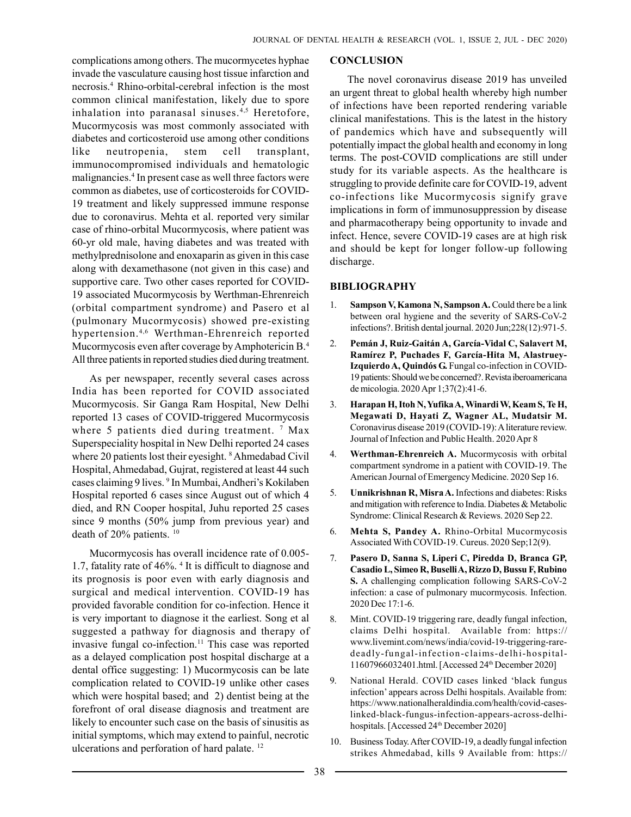complications among others. The mucormycetes hyphae invade the vasculature causing host tissue infarction and necrosis.<sup>4</sup> Rhino-orbital-cerebral infection is the most common clinical manifestation, likely due to spore inhalation into paranasal sinuses.<sup>4,5</sup> Heretofore, Mucormycosis was most commonly associated with diabetes and corticosteroid use among other conditions like neutropenia, stem cell transplant, immunocompromised individuals and hematologic malignancies.<sup>4</sup> In present case as well three factors were common as diabetes, use of corticosteroids for COVID-19 treatment and likely suppressed immune response due to coronavirus. Mehta et al. reported very similar case of rhino-orbital Mucormycosis, where patient was 60-yr old male, having diabetes and was treated with methylprednisolone and enoxaparin as given in this case along with dexamethasone (not given in this case) and supportive care. Two other cases reported for COVID-19 associated Mucormycosis by Werthman-Ehrenreich (orbital compartment syndrome) and Pasero et al (pulmonary Mucormycosis) showed pre-existing hypertension.4,6 Werthman-Ehrenreich reported Mucormycosis even after coverage by Amphotericin B.<sup>4</sup> All three patients in reported studies died during treatment.

As per newspaper, recently several cases across India has been reported for COVID associated Mucormycosis. Sir Ganga Ram Hospital, New Delhi reported 13 cases of COVID-triggered Mucormycosis where 5 patients died during treatment.  $7$  Max Superspeciality hospital in New Delhi reported 24 cases where 20 patients lost their eyesight. <sup>8</sup> Ahmedabad Civil Hospital, Ahmedabad, Gujrat, registered at least 44 such cases claiming 9 lives. <sup>9</sup> In Mumbai, Andheri's Kokilaben Hospital reported 6 cases since August out of which 4 died, and RN Cooper hospital, Juhu reported 25 cases since 9 months (50% jump from previous year) and death of 20% patients. <sup>10</sup>

Mucormycosis has overall incidence rate of 0.005- 1.7, fatality rate of 46%.<sup>4</sup> It is difficult to diagnose and its prognosis is poor even with early diagnosis and surgical and medical intervention. COVID-19 has provided favorable condition for co-infection. Hence it is very important to diagnose it the earliest. Song et al suggested a pathway for diagnosis and therapy of invasive fungal co-infection.<sup>11</sup> This case was reported as a delayed complication post hospital discharge at a dental office suggesting: 1) Mucormycosis can be late complication related to COVID-19 unlike other cases which were hospital based; and 2) dentist being at the forefront of oral disease diagnosis and treatment are likely to encounter such case on the basis of sinusitis as initial symptoms, which may extend to painful, necrotic ulcerations and perforation of hard palate. <sup>12</sup>

## **CONCLUSION**

The novel coronavirus disease 2019 has unveiled an urgent threat to global health whereby high number of infections have been reported rendering variable clinical manifestations. This is the latest in the history of pandemics which have and subsequently will potentially impact the global health and economy in long terms. The post-COVID complications are still under study for its variable aspects. As the healthcare is struggling to provide definite care for COVID-19, advent co-infections like Mucormycosis signify grave implications in form of immunosuppression by disease and pharmacotherapy being opportunity to invade and infect. Hence, severe COVID-19 cases are at high risk and should be kept for longer follow-up following discharge.

# BIBLIOGRAPHY

- 1. Sampson V, Kamona N, Sampson A. Could there be a link between oral hygiene and the severity of SARS-CoV-2 infections?. British dental journal. 2020 Jun;228(12):971-5.
- 2. Pemán J, Ruiz-Gaitán A, García-Vidal C, Salavert M, Ramírez P, Puchades F, García-Hita M, Alastruey-Izquierdo A, Quindós G. Fungal co-infection in COVID-19 patients: Should we be concerned?. Revista iberoamericana de micologia. 2020 Apr 1;37(2):41-6.
- 3. Harapan H, Itoh N, Yufika A, Winardi W, Keam S, Te H, Megawati D, Hayati Z, Wagner AL, Mudatsir M. Coronavirus disease 2019 (COVID-19): A literature review. Journal of Infection and Public Health. 2020 Apr 8
- 4. Werthman-Ehrenreich A. Mucormycosis with orbital compartment syndrome in a patient with COVID-19. The American Journal of Emergency Medicine. 2020 Sep 16.
- 5. Unnikrishnan R, Misra A. Infections and diabetes: Risks and mitigation with reference to India. Diabetes & Metabolic Syndrome: Clinical Research & Reviews. 2020 Sep 22.
- 6. Mehta S, Pandey A. Rhino-Orbital Mucormycosis Associated With COVID-19. Cureus. 2020 Sep;12(9).
- 7. Pasero D, Sanna S, Liperi C, Piredda D, Branca GP, Casadio L, Simeo R, Buselli A, Rizzo D, Bussu F, Rubino S. A challenging complication following SARS-CoV-2 infection: a case of pulmonary mucormycosis. Infection. 2020 Dec 17:1-6.
- 8. Mint. COVID-19 triggering rare, deadly fungal infection, claims Delhi hospital. Available from: https:// www.livemint.com/news/india/covid-19-triggering-raredeadly-fungal-infection-claims-delhi-hospital-11607966032401.html. [Accessed 24th December 2020]
- 9. National Herald. COVID cases linked 'black fungus infection' appears across Delhi hospitals. Available from: https://www.nationalheraldindia.com/health/covid-caseslinked-black-fungus-infection-appears-across-delhihospitals. [Accessed 24<sup>th</sup> December 2020]
- 10. Business Today. After COVID-19, a deadly fungal infection strikes Ahmedabad, kills 9 Available from: https://